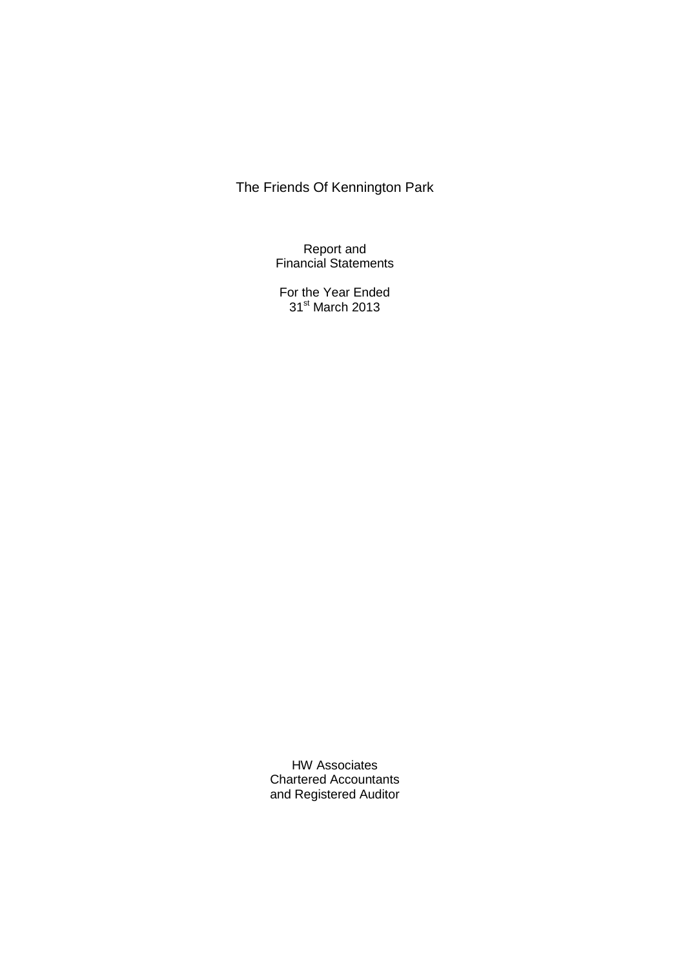Report and Financial Statements

For the Year Ended 31st March 2013

HW Associates Chartered Accountants and Registered Auditor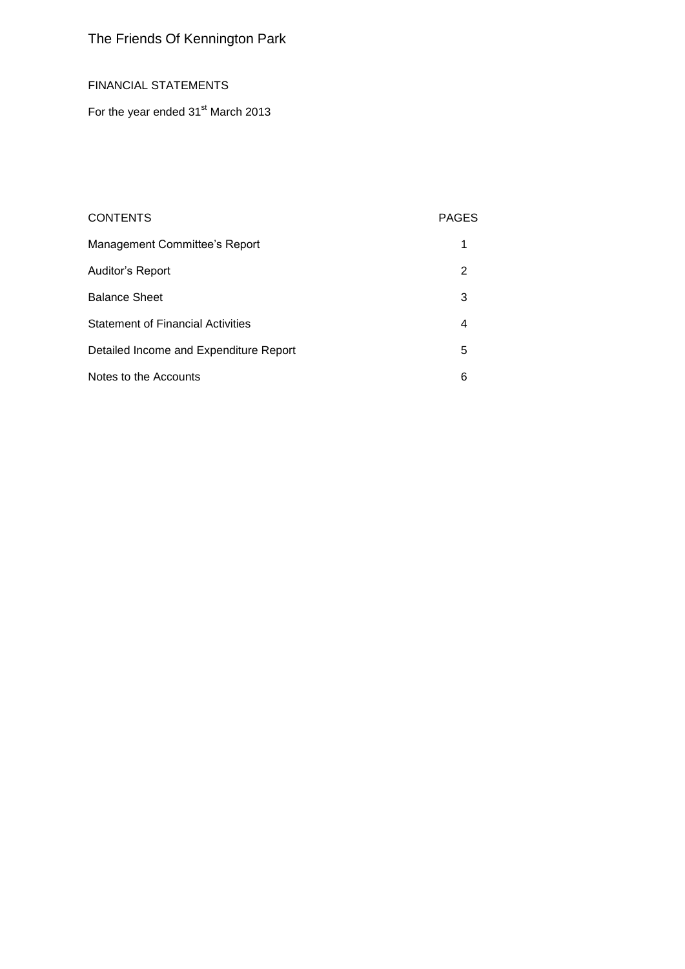## FINANCIAL STATEMENTS

For the year ended 31<sup>st</sup> March 2013

## CONTENTS PAGES

| Management Committee's Report            |   |
|------------------------------------------|---|
| Auditor's Report                         | 2 |
| <b>Balance Sheet</b>                     | 3 |
| <b>Statement of Financial Activities</b> | 4 |
| Detailed Income and Expenditure Report   | 5 |
| Notes to the Accounts                    | 6 |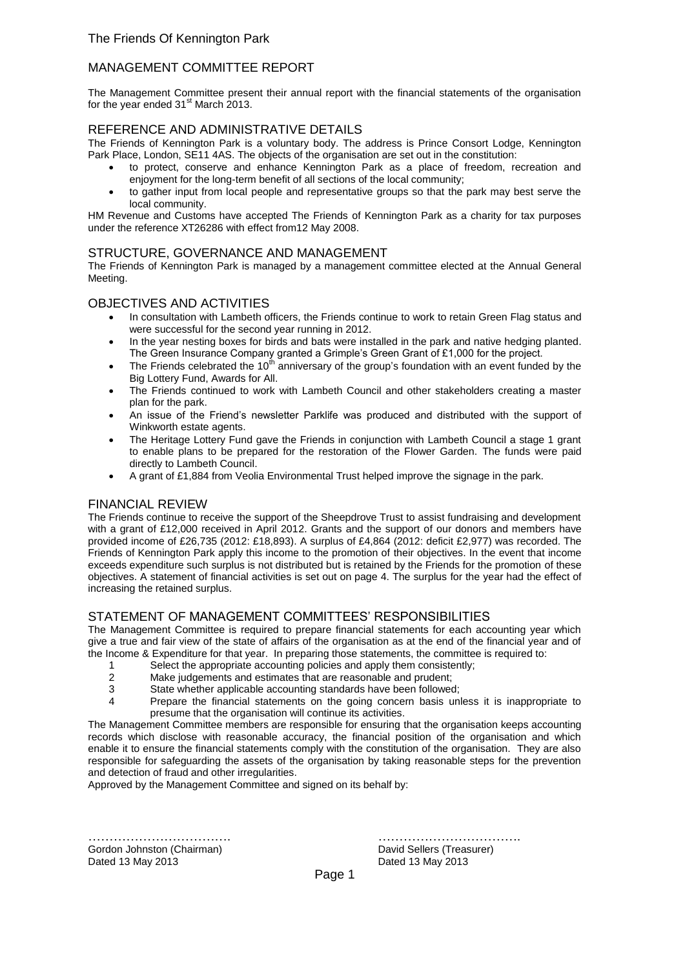## MANAGEMENT COMMITTEE REPORT

The Management Committee present their annual report with the financial statements of the organisation for the year ended  $31<sup>st</sup>$  March 2013.

### REFERENCE AND ADMINISTRATIVE DETAILS

The Friends of Kennington Park is a voluntary body. The address is Prince Consort Lodge, Kennington Park Place, London, SE11 4AS. The objects of the organisation are set out in the constitution:

- to protect, conserve and enhance Kennington Park as a place of freedom, recreation and enjoyment for the long-term benefit of all sections of the local community;
- to gather input from local people and representative groups so that the park may best serve the local community.

HM Revenue and Customs have accepted The Friends of Kennington Park as a charity for tax purposes under the reference XT26286 with effect from12 May 2008.

#### STRUCTURE, GOVERNANCE AND MANAGEMENT

The Friends of Kennington Park is managed by a management committee elected at the Annual General Meeting.

#### OBJECTIVES AND ACTIVITIES

- In consultation with Lambeth officers, the Friends continue to work to retain Green Flag status and were successful for the second year running in 2012.
- In the year nesting boxes for birds and bats were installed in the park and native hedging planted. The Green Insurance Company granted a Grimple's Green Grant of £1,000 for the project.
- The Friends celebrated the  $10^{th}$  anniversary of the group's foundation with an event funded by the Big Lottery Fund, Awards for All.
- The Friends continued to work with Lambeth Council and other stakeholders creating a master plan for the park.
- An issue of the Friend's newsletter Parklife was produced and distributed with the support of Winkworth estate agents.
- The Heritage Lottery Fund gave the Friends in conjunction with Lambeth Council a stage 1 grant to enable plans to be prepared for the restoration of the Flower Garden. The funds were paid directly to Lambeth Council.
- A grant of £1,884 from Veolia Environmental Trust helped improve the signage in the park.

## FINANCIAL REVIEW

The Friends continue to receive the support of the Sheepdrove Trust to assist fundraising and development with a grant of £12,000 received in April 2012. Grants and the support of our donors and members have provided income of £26,735 (2012: £18,893). A surplus of £4,864 (2012: deficit £2,977) was recorded. The Friends of Kennington Park apply this income to the promotion of their objectives. In the event that income exceeds expenditure such surplus is not distributed but is retained by the Friends for the promotion of these objectives. A statement of financial activities is set out on page 4. The surplus for the year had the effect of increasing the retained surplus.

#### STATEMENT OF MANAGEMENT COMMITTEES' RESPONSIBILITIES

The Management Committee is required to prepare financial statements for each accounting year which give a true and fair view of the state of affairs of the organisation as at the end of the financial year and of the Income & Expenditure for that year. In preparing those statements, the committee is required to:

- 1 Select the appropriate accounting policies and apply them consistently;<br>2 Make judgements and estimates that are reasonable and prudent:
- 2 Make judgements and estimates that are reasonable and prudent;<br>3 State whether applicable accounting standards have been followed
- State whether applicable accounting standards have been followed;
- 4 Prepare the financial statements on the going concern basis unless it is inappropriate to presume that the organisation will continue its activities.

The Management Committee members are responsible for ensuring that the organisation keeps accounting records which disclose with reasonable accuracy, the financial position of the organisation and which enable it to ensure the financial statements comply with the constitution of the organisation. They are also responsible for safeguarding the assets of the organisation by taking reasonable steps for the prevention and detection of fraud and other irregularities.

Approved by the Management Committee and signed on its behalf by:

Gordon Johnston (Chairman) **David Sellers (Treasurer)** David Sellers (Treasurer) Dated 13 May 2013 Dated 13 May 2013

……………………………. …………………………….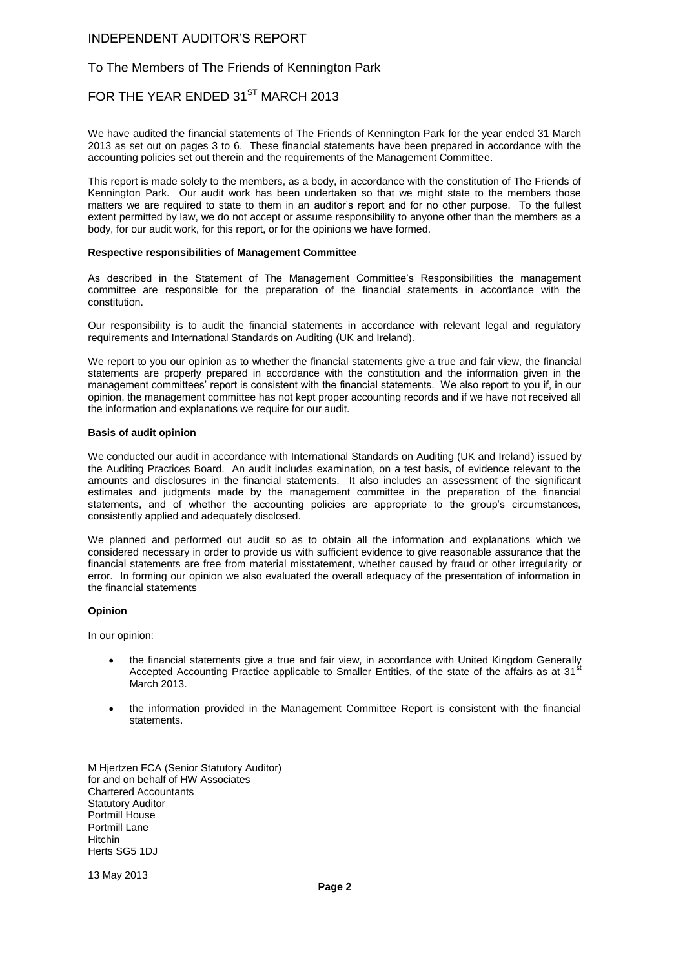#### INDEPENDENT AUDITOR'S REPORT

#### To The Members of The Friends of Kennington Park

## FOR THE YEAR ENDED 31<sup>ST</sup> MARCH 2013

We have audited the financial statements of The Friends of Kennington Park for the year ended 31 March 2013 as set out on pages 3 to 6. These financial statements have been prepared in accordance with the accounting policies set out therein and the requirements of the Management Committee.

This report is made solely to the members, as a body, in accordance with the constitution of The Friends of Kennington Park. Our audit work has been undertaken so that we might state to the members those matters we are required to state to them in an auditor's report and for no other purpose. To the fullest extent permitted by law, we do not accept or assume responsibility to anyone other than the members as a body, for our audit work, for this report, or for the opinions we have formed.

#### **Respective responsibilities of Management Committee**

As described in the Statement of The Management Committee's Responsibilities the management committee are responsible for the preparation of the financial statements in accordance with the constitution.

Our responsibility is to audit the financial statements in accordance with relevant legal and regulatory requirements and International Standards on Auditing (UK and Ireland).

We report to you our opinion as to whether the financial statements give a true and fair view, the financial statements are properly prepared in accordance with the constitution and the information given in the management committees' report is consistent with the financial statements. We also report to you if, in our opinion, the management committee has not kept proper accounting records and if we have not received all the information and explanations we require for our audit.

#### **Basis of audit opinion**

We conducted our audit in accordance with International Standards on Auditing (UK and Ireland) issued by the Auditing Practices Board. An audit includes examination, on a test basis, of evidence relevant to the amounts and disclosures in the financial statements. It also includes an assessment of the significant estimates and judgments made by the management committee in the preparation of the financial statements, and of whether the accounting policies are appropriate to the group's circumstances, consistently applied and adequately disclosed.

We planned and performed out audit so as to obtain all the information and explanations which we considered necessary in order to provide us with sufficient evidence to give reasonable assurance that the financial statements are free from material misstatement, whether caused by fraud or other irregularity or error. In forming our opinion we also evaluated the overall adequacy of the presentation of information in the financial statements

#### **Opinion**

In our opinion:

- the financial statements give a true and fair view, in accordance with United Kingdom Generally Accepted Accounting Practice applicable to Smaller Entities, of the state of the affairs as at  $31<sup>3</sup>$ March 2013.
- the information provided in the Management Committee Report is consistent with the financial statements.

M Hjertzen FCA (Senior Statutory Auditor) for and on behalf of HW Associates Chartered Accountants Statutory Auditor Portmill House Portmill Lane Hitchin Herts SG5 1DJ

13 May 2013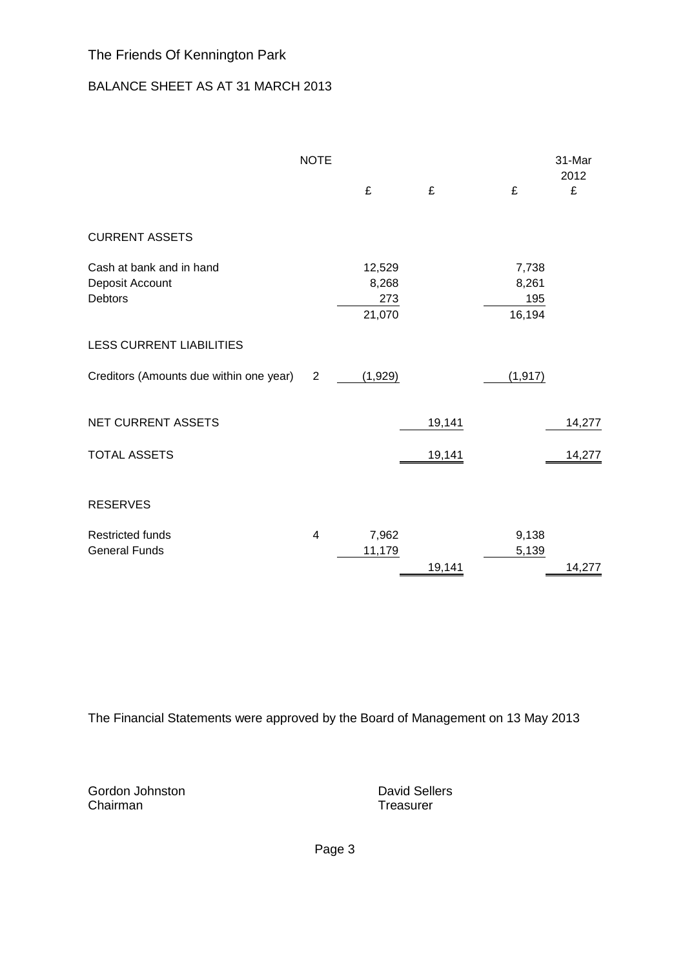## BALANCE SHEET AS AT 31 MARCH 2013

|                                                               | <b>NOTE</b>              | £                                | £      | £                               | 31-Mar<br>2012<br>£ |
|---------------------------------------------------------------|--------------------------|----------------------------------|--------|---------------------------------|---------------------|
|                                                               |                          |                                  |        |                                 |                     |
| <b>CURRENT ASSETS</b>                                         |                          |                                  |        |                                 |                     |
| Cash at bank and in hand<br>Deposit Account<br><b>Debtors</b> |                          | 12,529<br>8,268<br>273<br>21,070 |        | 7,738<br>8,261<br>195<br>16,194 |                     |
| <b>LESS CURRENT LIABILITIES</b>                               |                          |                                  |        |                                 |                     |
| Creditors (Amounts due within one year)                       | $\overline{2}$           | (1,929)                          |        | (1, 917)                        |                     |
| <b>NET CURRENT ASSETS</b>                                     |                          |                                  | 19,141 |                                 | 14,277              |
| <b>TOTAL ASSETS</b>                                           |                          |                                  | 19,141 |                                 | 14,277              |
| <b>RESERVES</b>                                               |                          |                                  |        |                                 |                     |
| <b>Restricted funds</b><br><b>General Funds</b>               | $\overline{\mathcal{A}}$ | 7,962<br>11,179                  | 19,141 | 9,138<br>5,139                  | 14,277              |

The Financial Statements were approved by the Board of Management on 13 May 2013

Gordon Johnston **David Sellers** Chairman **Treasurer** Treasurer

Page 3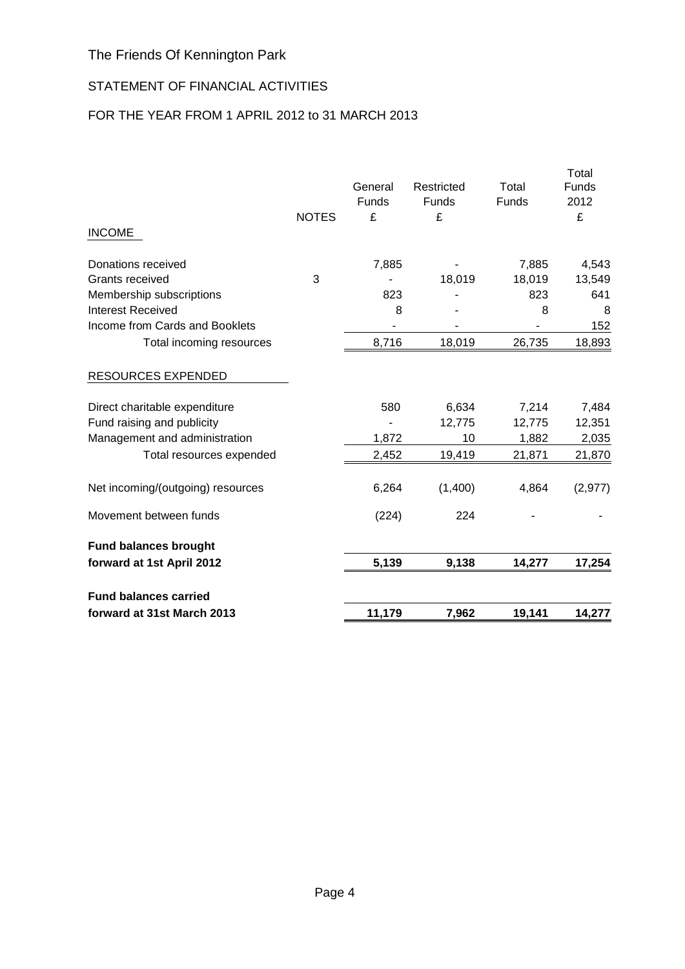## STATEMENT OF FINANCIAL ACTIVITIES

## FOR THE YEAR FROM 1 APRIL 2012 to 31 MARCH 2013

| forward at 31st March 2013                   |              | 11,179  | 7,962      | 19,141          | 14,277          |
|----------------------------------------------|--------------|---------|------------|-----------------|-----------------|
| <b>Fund balances carried</b>                 |              |         |            |                 |                 |
| forward at 1st April 2012                    |              | 5,139   | 9,138      | 14,277          | 17,254          |
| <b>Fund balances brought</b>                 |              |         |            |                 |                 |
| Movement between funds                       |              | (224)   | 224        |                 |                 |
| Net incoming/(outgoing) resources            |              | 6,264   | (1,400)    | 4,864           | (2, 977)        |
| Total resources expended                     |              | 2,452   | 19,419     | 21,871          | 21,870          |
| Management and administration                |              | 1,872   | 10         | 1,882           | 2,035           |
| Fund raising and publicity                   |              |         | 12,775     | 12,775          | 12,351          |
| Direct charitable expenditure                |              | 580     | 6,634      | 7,214           | 7,484           |
| <b>RESOURCES EXPENDED</b>                    |              |         |            |                 |                 |
| Total incoming resources                     |              | 8,716   | 18,019     | 26,735          | 18,893          |
| Income from Cards and Booklets               |              |         |            |                 | 152             |
| <b>Interest Received</b>                     |              | 8       |            | 8               | 8               |
| Membership subscriptions                     |              | 823     |            | 823             | 641             |
| Donations received<br><b>Grants received</b> | 3            | 7,885   | 18,019     | 7,885<br>18,019 | 4,543<br>13,549 |
| <b>INCOME</b>                                |              |         |            |                 |                 |
|                                              | <b>NOTES</b> | £       | £          |                 | £               |
|                                              |              | Funds   | Funds      | Funds           | 2012            |
|                                              |              | General | Restricted | Total           | Total<br>Funds  |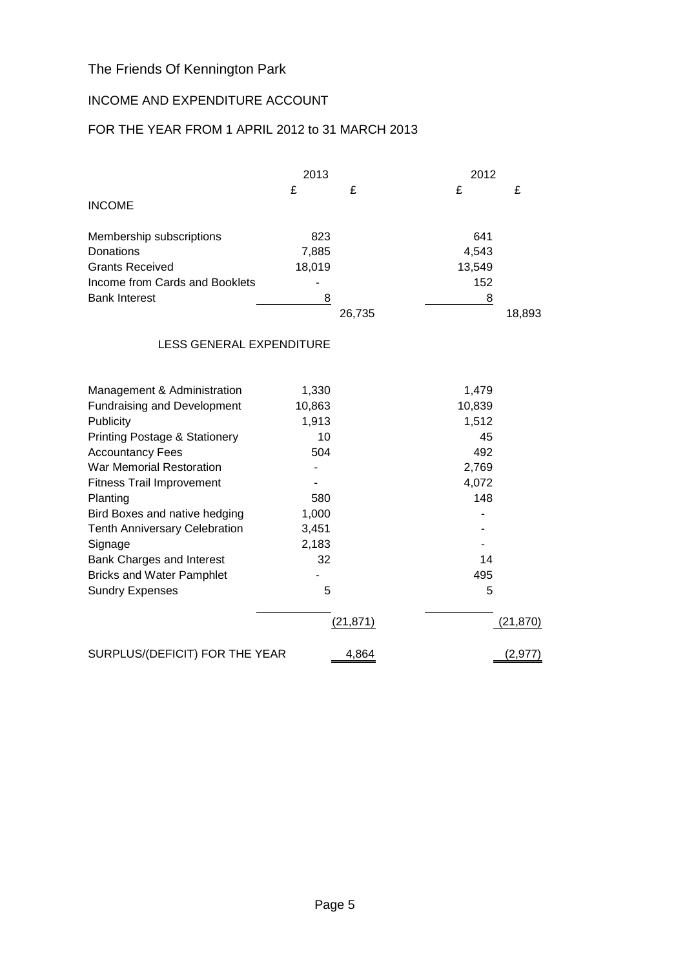## INCOME AND EXPENDITURE ACCOUNT

## FOR THE YEAR FROM 1 APRIL 2012 to 31 MARCH 2013

|                                          | 2013   |           | 2012   |          |
|------------------------------------------|--------|-----------|--------|----------|
|                                          | £      | £         | £      | £        |
| <b>INCOME</b>                            |        |           |        |          |
| Membership subscriptions                 | 823    |           | 641    |          |
| Donations                                | 7,885  |           | 4,543  |          |
| <b>Grants Received</b>                   | 18,019 |           | 13,549 |          |
| Income from Cards and Booklets           |        |           | 152    |          |
| <b>Bank Interest</b>                     | 8      |           | 8      |          |
|                                          |        | 26,735    |        | 18,893   |
| <b>LESS GENERAL EXPENDITURE</b>          |        |           |        |          |
| Management & Administration              | 1,330  |           | 1,479  |          |
| <b>Fundraising and Development</b>       | 10,863 |           | 10,839 |          |
| Publicity                                | 1,913  |           | 1,512  |          |
| <b>Printing Postage &amp; Stationery</b> | 10     |           | 45     |          |
| <b>Accountancy Fees</b>                  | 504    |           | 492    |          |
| War Memorial Restoration                 |        |           | 2,769  |          |
| <b>Fitness Trail Improvement</b>         |        |           | 4,072  |          |
| Planting                                 | 580    |           | 148    |          |
| Bird Boxes and native hedging            | 1,000  |           |        |          |
| <b>Tenth Anniversary Celebration</b>     | 3,451  |           |        |          |
| Signage                                  | 2,183  |           |        |          |
| Bank Charges and Interest                | 32     |           | 14     |          |
| <b>Bricks and Water Pamphlet</b>         |        |           | 495    |          |
| <b>Sundry Expenses</b>                   | 5      |           | 5      |          |
|                                          |        | (21, 871) |        | (21,870) |
| SURPLUS/(DEFICIT) FOR THE YEAR           |        | 4,864     |        | (2, 977) |